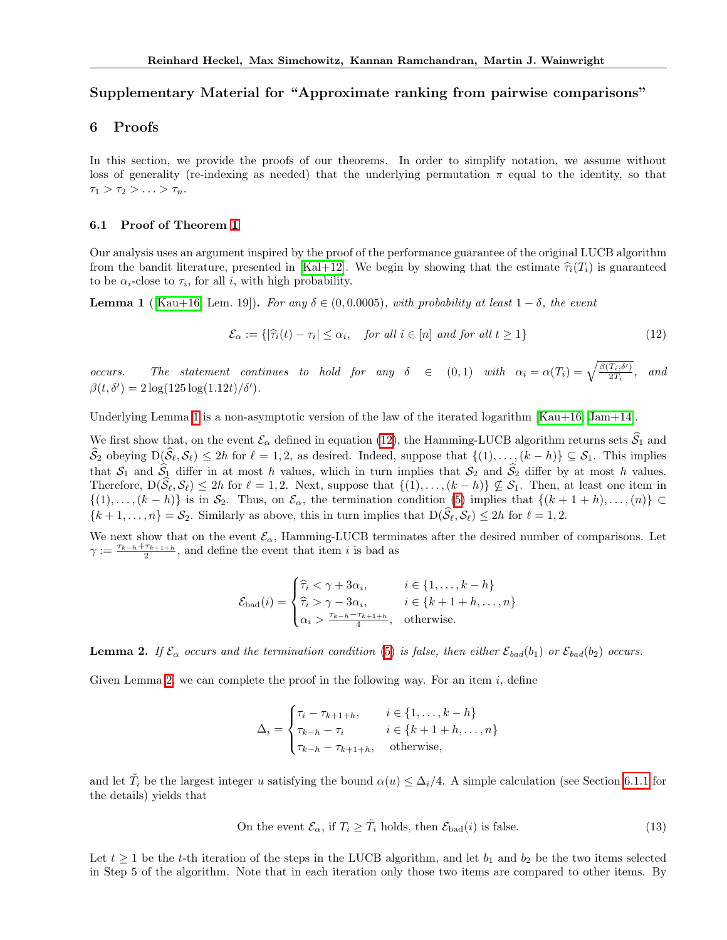# Supplementary Material for "Approximate ranking from pairwise comparisons"

## 6 Proofs

In this section, we provide the proofs of our theorems. In order to simplify notation, we assume without loss of generality (re-indexing as needed) that the underlying permutation  $\pi$  equal to the identity, so that  $\tau_1 > \tau_2 > \ldots > \tau_n$ .

### 6.1 Proof of Theorem [1](#page-4-0)

Our analysis uses an argument inspired by the proof of the performance guarantee of the original LUCB algorithm from the bandit literature, presented in  $\boxed{\text{Kal+12}}$ . We begin by showing that the estimate  $\hat{\tau}_i(T_i)$  is guaranteed to be  $\alpha_i$ -close to  $\tau_i$ , for all *i*, with high probability.

**Lemma 1** ( $\text{Kau+16}$ , Lem. 19]). For any  $\delta \in (0, 0.0005)$ , with probability at least  $1-\delta$ , the event

$$
\mathcal{E}_{\alpha} := \{ |\hat{\tau}_i(t) - \tau_i| \le \alpha_i, \quad \text{for all } i \in [n] \text{ and for all } t \ge 1 \}
$$
\n
$$
(12)
$$

*occurs.* The statement continues to hold for any  $\delta \in (0,1)$  with  $\alpha_i = \alpha(T_i) = \sqrt{\frac{\beta(T_i, \delta')}{2T_i}}$ , and  $\beta(t, \delta') = 2 \log(125 \log(1.12t)/\delta').$ 

Underlying Lemma  $\boxed{1}$  is a non-asymptotic version of the law of the iterated logarithm  $\boxed{Kau+16}$ ,  $\boxed{Jam+14}$ .

We first show that, on the event  $\mathcal{E}_{\alpha}$  defined in equation [\(12\)](#page--1-1), the Hamming-LUCB algorithm returns sets  $\widehat{S}_1$  and  $\widehat{S}_2$  obeying  $D(\widehat{S}_\ell, S_\ell) \leq 2h$  for  $\ell = 1, 2$ , as desired. Indeed, suppose that  $\{(1), \ldots, (k-h)\} \subseteq S_1$ . This implies that  $S_1$  and  $\widehat{S}_1$  differ in at most *h* values, which in turn implies that  $S_2$  and  $\widehat{S}_2$  differ by at most *h* values. Therefore,  $D(\hat{\mathcal{S}}_{\ell}, \mathcal{S}_{\ell}) \leq 2h$  for  $\ell = 1, 2$ . Next, suppose that  $\{(1), \ldots, (k-h)\}\nsubseteq \mathcal{S}_1$ . Then, at least one item in  $\{(1),..., (k-h)\}\$ is in  $\mathcal{S}_2$ . Thus, on  $\mathcal{E}_{\alpha}$ , the termination condition [\(5\)](#page-4-1) implies that  $\{(k+1+h),..., (n)\}\subset$  ${k+1,\ldots,n} = S_2$ . Similarly as above, this in turn implies that  $D(\widehat{S}_\ell, S_\ell) \leq 2h$  for  $\ell = 1,2$ .

We next show that on the event  $\mathcal{E}_{\alpha}$ , Hamming-LUCB terminates after the desired number of comparisons. Let  $\gamma := \frac{\tau_{k-h} + \tau_{k+1+h}}{2}$ , and define the event that item *i* is bad as

$$
\mathcal{E}_{bad}(i) = \begin{cases} \hat{\tau}_i < \gamma + 3\alpha_i, & i \in \{1, \dots, k - h\} \\ \hat{\tau}_i > \gamma - 3\alpha_i, & i \in \{k + 1 + h, \dots, n\} \\ \alpha_i > \frac{\tau_{k-h} - \tau_{k+1+h}}{4}, \quad \text{otherwise.} \end{cases}
$$

**Lemma 2.** If  $\mathcal{E}_{\alpha}$  occurs and the termination condition  $\overline{5}$  is false, then either  $\mathcal{E}_{bad}(b_1)$  or  $\mathcal{E}_{bad}(b_2)$  occurs.

Given Lemma  $\overline{2}$ , we can complete the proof in the following way. For an item *i*, define

$$
\Delta_i = \begin{cases}\n\tau_i - \tau_{k+1+h}, & i \in \{1, \dots, k-h\} \\
\tau_{k-h} - \tau_i & i \in \{k+1+h, \dots, n\} \\
\tau_{k-h} - \tau_{k+1+h}, & \text{otherwise,} \n\end{cases}
$$

and let  $\tilde{T}_i$  be the largest integer *u* satisfying the bound  $\alpha(u) \leq \Delta_i/4$ . A simple calculation (see Section [6.1.1](#page--1-3) for the details) yields that

On the event 
$$
\mathcal{E}_{\alpha}
$$
, if  $T_i \geq \tilde{T}_i$  holds, then  $\mathcal{E}_{bad}(i)$  is false. (13)

Let  $t \geq 1$  be the *t*-th iteration of the steps in the LUCB algorithm, and let  $b_1$  and  $b_2$  be the two items selected in Step 5 of the algorithm. Note that in each iteration only those two items are compared to other items. By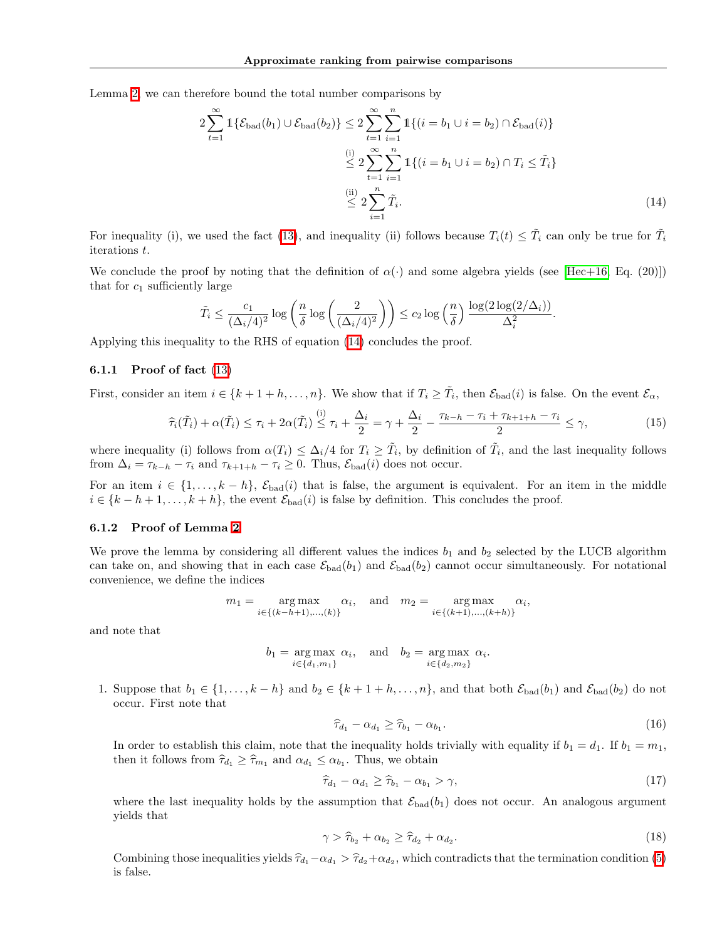Lemma  $\sqrt{2}$ , we can therefore bound the total number comparisons by

$$
2\sum_{t=1}^{\infty} \mathbb{1}\{\mathcal{E}_{bad}(b_1) \cup \mathcal{E}_{bad}(b_2)\} \le 2\sum_{t=1}^{\infty} \sum_{i=1}^{n} \mathbb{1}\{(i = b_1 \cup i = b_2) \cap \mathcal{E}_{bad}(i)\}\
$$

$$
\le 2\sum_{t=1}^{\infty} \sum_{i=1}^{n} \mathbb{1}\{(i = b_1 \cup i = b_2) \cap T_i \le \tilde{T}_i\}
$$

$$
\le 2\sum_{i=1}^{n} \tilde{T}_i.
$$
(14)

For inequality (i), we used the fact  $(13)$ , and inequality (ii) follows because  $T_i(t) \leq \tilde{T}_i$  can only be true for  $\tilde{T}_i$ iterations *t*.

We conclude the proof by noting that the definition of  $\alpha(\cdot)$  and some algebra yields (see [\[Hec+16,](#page-8-3) Eq. (20)]) that for  $c_1$  sufficiently large

$$
\tilde{T}_i \le \frac{c_1}{(\Delta_i/4)^2} \log \left( \frac{n}{\delta} \log \left( \frac{2}{(\Delta_i/4)^2} \right) \right) \le c_2 \log \left( \frac{n}{\delta} \right) \frac{\log(2 \log(2/\Delta_i))}{\Delta_i^2}
$$

Applying this inequality to the RHS of equation [\(14\)](#page--1-5) concludes the proof.

## 6.1.1 Proof of fact  $(13)$

First, consider an item  $i \in \{k+1+h,\ldots,n\}$ . We show that if  $T_i \geq \tilde{T}_i$ , then  $\mathcal{E}_{bad}(i)$  is false. On the event  $\mathcal{E}_{\alpha}$ ,

$$
\widehat{\tau}_i(\tilde{T}_i) + \alpha(\tilde{T}_i) \le \tau_i + 2\alpha(\tilde{T}_i) \stackrel{\text{(i)}}{\le} \tau_i + \frac{\Delta_i}{2} = \gamma + \frac{\Delta_i}{2} - \frac{\tau_{k-h} - \tau_i + \tau_{k+1+h} - \tau_i}{2} \le \gamma,\tag{15}
$$

where inequality (i) follows from  $\alpha(T_i) \leq \Delta_i/4$  for  $T_i \geq \tilde{T}_i$ , by definition of  $\tilde{T}_i$ , and the last inequality follows from  $\Delta_i = \tau_{k-h} - \tau_i$  and  $\tau_{k+1+h} - \tau_i \geq 0$ . Thus,  $\mathcal{E}_{bad}(i)$  does not occur.

For an item  $i \in \{1, \ldots, k-h\}$ ,  $\mathcal{E}_{bad}(i)$  that is false, the argument is equivalent. For an item in the middle  $i \in \{k - h + 1, \ldots, k + h\}$ , the event  $\mathcal{E}_{bad}(i)$  is false by definition. This concludes the proof.

### 6.1.2 Proof of Lemma [2](#page--1-2)

We prove the lemma by considering all different values the indices  $b_1$  and  $b_2$  selected by the LUCB algorithm can take on, and showing that in each case  $\mathcal{E}_{bad}(b_1)$  and  $\mathcal{E}_{bad}(b_2)$  cannot occur simultaneously. For notational convenience, we define the indices

$$
m_1 = \underset{i \in \{(k-h+1),...,k\}}{\arg \max} \alpha_i, \quad \text{and} \quad m_2 = \underset{i \in \{(k+1),...,k+h\}}{\arg \max} \alpha_i,
$$

and note that

$$
b_1 = \underset{i \in \{d_1, m_1\}}{\arg \max} \alpha_i
$$
, and  $b_2 = \underset{i \in \{d_2, m_2\}}{\arg \max} \alpha_i$ .

1. Suppose that  $b_1 \in \{1, \ldots, k-h\}$  and  $b_2 \in \{k+1+h, \ldots, n\}$ , and that both  $\mathcal{E}_{bad}(b_1)$  and  $\mathcal{E}_{bad}(b_2)$  do not occur. First note that

$$
\widehat{\tau}_{d_1} - \alpha_{d_1} \ge \widehat{\tau}_{b_1} - \alpha_{b_1}.\tag{16}
$$

*.*

In order to establish this claim, note that the inequality holds trivially with equality if  $b_1 = d_1$ . If  $b_1 = m_1$ , then it follows from  $\widehat{\tau}_{d_1} \geq \widehat{\tau}_{m_1}$  and  $\alpha_{d_1} \leq \alpha_{b_1}$ . Thus, we obtain

$$
\widehat{\tau}_{d_1} - \alpha_{d_1} \ge \widehat{\tau}_{b_1} - \alpha_{b_1} > \gamma,\tag{17}
$$

where the last inequality holds by the assumption that  $\mathcal{E}_{bad}(b_1)$  does not occur. An analogous argument yields that

$$
\gamma > \widehat{\tau}_{b_2} + \alpha_{b_2} \ge \widehat{\tau}_{d_2} + \alpha_{d_2}.\tag{18}
$$

Combining those inequalities yields  $\hat{\tau}_{d_1} - \alpha_{d_1} > \hat{\tau}_{d_2} + \alpha_{d_2}$ , which contradicts that the termination condition [\(5\)](#page-4-1) is false.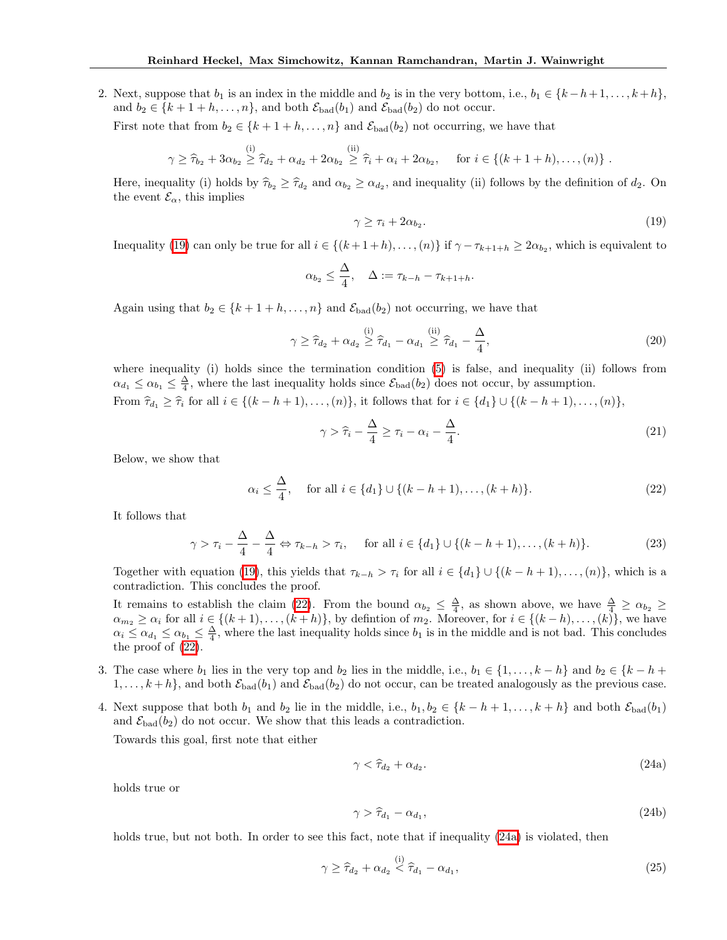2. Next, suppose that  $b_1$  is an index in the middle and  $b_2$  is in the very bottom, i.e.,  $b_1 \in \{k-h+1,\ldots,k+h\}$ , and  $b_2 \in \{k+1+h,\ldots,n\}$ , and both  $\mathcal{E}_{bad}(b_1)$  and  $\mathcal{E}_{bad}(b_2)$  do not occur.

First note that from  $b_2 \in \{k+1+h,\ldots,n\}$  and  $\mathcal{E}_{bad}(b_2)$  not occurring, we have that

$$
\gamma \geq \widehat{\tau}_{b_2} + 3\alpha_{b_2} \stackrel{(i)}{\geq} \widehat{\tau}_{d_2} + \alpha_{d_2} + 2\alpha_{b_2} \stackrel{(ii)}{\geq} \widehat{\tau}_i + \alpha_i + 2\alpha_{b_2}, \quad \text{ for } i \in \{(k+1+h), \dots, (n)\}.
$$

Here, inequality (i) holds by  $\hat{\tau}_{b_2} \geq \hat{\tau}_{d_2}$  and  $\alpha_{b_2} \geq \alpha_{d_2}$ , and inequality (ii) follows by the definition of  $d_2$ . On the event  $\mathcal{E}_{\alpha}$ , this implies

$$
\gamma \ge \tau_i + 2\alpha_{b_2}.\tag{19}
$$

Inequality  $\left(\overline{19}\right)$  can only be true for all  $i \in \{(k+1+h), \ldots, (n)\}$  if  $\gamma - \tau_{k+1+h} \geq 2\alpha_{b_2}$ , which is equivalent to

$$
\alpha_{b_2} \leq \frac{\Delta}{4}, \quad \Delta := \tau_{k-h} - \tau_{k+1+h}.
$$

Again using that  $b_2 \in \{k+1+h,\ldots,n\}$  and  $\mathcal{E}_{bad}(b_2)$  not occurring, we have that

$$
\gamma \geq \widehat{\tau}_{d_2} + \alpha_{d_2} \stackrel{\text{(i)}}{\geq} \widehat{\tau}_{d_1} - \alpha_{d_1} \stackrel{\text{(ii)}}{\geq} \widehat{\tau}_{d_1} - \frac{\Delta}{4},\tag{20}
$$

where inequality (i) holds since the termination condition  $(5)$  is false, and inequality (ii) follows from  $\alpha_{d_1} \leq \alpha_{b_1} \leq \frac{\Delta}{4}$ , where the last inequality holds since  $\mathcal{E}_{bad}(b_2)$  does not occur, by assumption. From  $\hat{\tau}_{d_1} \geq \hat{\tau}_i$  for all  $i \in \{(k-h+1), \ldots, (n)\},$  it follows that for  $i \in \{d_1\} \cup \{(k-h+1), \ldots, (n)\},$ 

$$
\gamma > \hat{\tau}_i - \frac{\Delta}{4} \ge \tau_i - \alpha_i - \frac{\Delta}{4}.\tag{21}
$$

Below, we show that

$$
\alpha_i \le \frac{\Delta}{4}
$$
, for all  $i \in \{d_1\} \cup \{(k - h + 1), \dots, (k + h)\}.$  (22)

It follows that

$$
\gamma > \tau_i - \frac{\Delta}{4} - \frac{\Delta}{4} \Leftrightarrow \tau_{k-h} > \tau_i, \quad \text{ for all } i \in \{d_1\} \cup \{(k-h+1), \dots, (k+h)\}.
$$
 (23)

Together with equation  $\overline{19}$ , this yields that  $\tau_{k-h} > \tau_i$  for all  $i \in \{d_1\} \cup \{(k-h+1), \ldots, (n)\}$ , which is a contradiction. This concludes the proof.

It remains to establish the claim [\(22\)](#page--1-7). From the bound  $\alpha_{b_2} \leq \frac{\Delta}{4}$ , as shown above, we have  $\frac{\Delta}{4} \geq \alpha_{b_2} \geq$  $\alpha_{m_2} \geq \alpha_i$  for all  $i \in \{(k+1), \ldots, (k+h)\}\$ , by definition of  $m_2$ . Moreover, for  $i \in \{(k-h), \ldots, (k)\}\$ , we have  $\alpha_i \leq \alpha_{d_1} \leq \alpha_{b_1} \leq \frac{\Delta}{4}$ , where the last inequality holds since  $b_1$  is in the middle and is not bad. This concludes the proof of  $(22)$ .

- 3. The case where  $b_1$  lies in the very top and  $b_2$  lies in the middle, i.e.,  $b_1 \in \{1, \ldots, k-h\}$  and  $b_2 \in \{k-h+1\}$  $1,\ldots,k+h\}$ , and both  $\mathcal{E}_{bad}(b_1)$  and  $\mathcal{E}_{bad}(b_2)$  do not occur, can be treated analogously as the previous case.
- 4. Next suppose that both  $b_1$  and  $b_2$  lie in the middle, i.e.,  $b_1, b_2 \in \{k h + 1, \ldots, k + h\}$  and both  $\mathcal{E}_{bad}(b_1)$ and  $\mathcal{E}_{bad}(b_2)$  do not occur. We show that this leads a contradiction. Towards this goal, first note that either

$$
\gamma < \hat{\tau}_{d_2} + \alpha_{d_2}.\tag{24a}
$$

holds true or

$$
\gamma > \hat{\tau}_{d_1} - \alpha_{d_1},\tag{24b}
$$

holds true, but not both. In order to see this fact, note that if inequality  $(24a)$  is violated, then

$$
\gamma \geq \widehat{\tau}_{d_2} + \alpha_{d_2} \stackrel{\text{(i)}}{<} \widehat{\tau}_{d_1} - \alpha_{d_1},\tag{25}
$$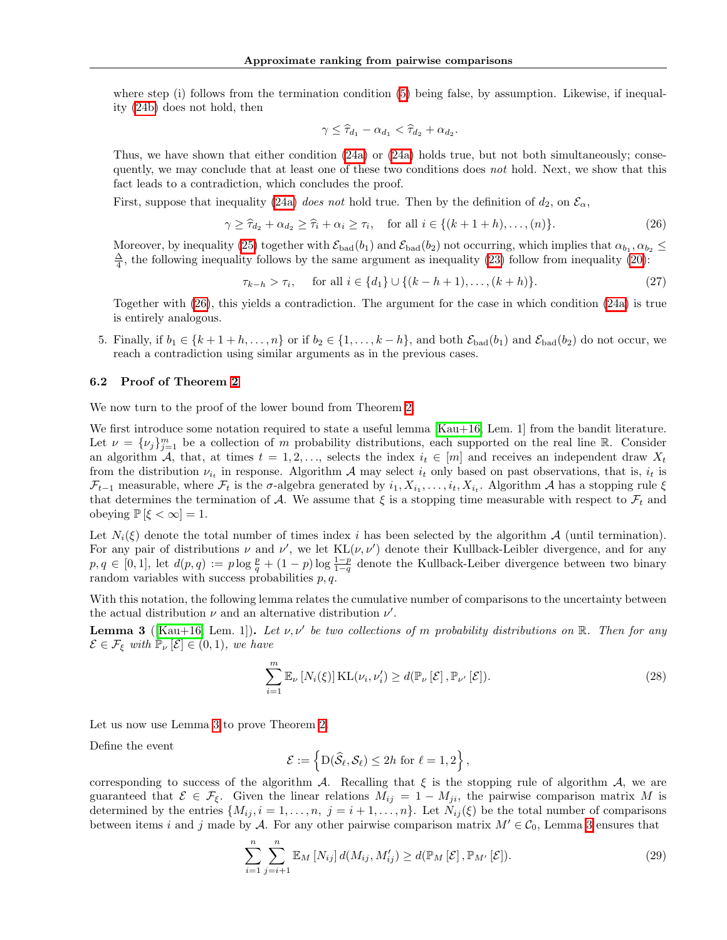where step (i) follows from the termination condition  $(5)$  being false, by assumption. Likewise, if inequality [\(24b\)](#page--1-9) does not hold, then

$$
\gamma \leq \widehat{\tau}_{d_1} - \alpha_{d_1} < \widehat{\tau}_{d_2} + \alpha_{d_2}.
$$

Thus, we have shown that either condition  $(24a)$  or  $(24a)$  holds true, but not both simultaneously; consequently, we may conclude that at least one of these two conditions does *not* hold. Next, we show that this fact leads to a contradiction, which concludes the proof.

First, suppose that inequality  $(24a)$  *does not* hold true. Then by the definition of  $d_2$ , on  $\mathcal{E}_{\alpha}$ ,

$$
\gamma \ge \widehat{\tau}_{d_2} + \alpha_{d_2} \ge \widehat{\tau}_i + \alpha_i \ge \tau_i, \quad \text{for all } i \in \{(k+1+h), \dots, (n)\}. \tag{26}
$$

Moreover, by inequality  $(25)$  together with  $\mathcal{E}_{bad}(b_1)$  and  $\mathcal{E}_{bad}(b_2)$  not occurring, which implies that  $\alpha_{b_1}, \alpha_{b_2} \leq$  $\frac{\Delta}{4}$ , the following inequality follows by the same argument as inequality [\(23\)](#page--1-11) follow from inequality [\(20\)](#page--1-12):

$$
\tau_{k-h} > \tau_i, \quad \text{ for all } i \in \{d_1\} \cup \{(k-h+1), \dots, (k+h)\}. \tag{27}
$$

Together with  $(26)$ , this yields a contradiction. The argument for the case in which condition  $(24a)$  is true is entirely analogous.

5. Finally, if  $b_1 \in \{k+1+h,\ldots,n\}$  or if  $b_2 \in \{1,\ldots,k-h\}$ , and both  $\mathcal{E}_{bad}(b_1)$  and  $\mathcal{E}_{bad}(b_2)$  do not occur, we reach a contradiction using similar arguments as in the previous cases.

#### 6.2 Proof of Theorem [2](#page-5-0)

We now turn to the proof of the lower bound from Theorem [2.](#page-5-0)

We first introduce some notation required to state a useful lemma  $\overline{Kau+16}$ , Lem. 1 from the bandit literature. Let  $\nu = {\{\nu_j\}}_{j=1}^m$  be a collection of *m* probability distributions, each supported on the real line R. Consider an algorithm *A*, that, at times  $t = 1, 2, \ldots$ , selects the index  $i_t \in [m]$  and receives an independent draw  $X_t$ from the distribution  $\nu_{i_t}$  in response. Algorithm *A* may select  $i_t$  only based on past observations, that is,  $i_t$  is  $\mathcal{F}_{t-1}$  measurable, where  $\mathcal{F}_t$  is the  $\sigma$ -algebra generated by  $i_1, X_{i_1}, \ldots, i_t, X_{i_t}$ . Algorithm *A* has a stopping rule  $\xi$ that determines the termination of *A*. We assume that  $\xi$  is a stopping time measurable with respect to  $\mathcal{F}_t$  and obeying  $\mathbb{P} \left[ \xi < \infty \right] = 1$ .

Let  $N_i(\xi)$  denote the total number of times index *i* has been selected by the algorithm *A* (until termination). For any pair of distributions  $\nu$  and  $\nu'$ , we let  $KL(\nu, \nu')$  denote their Kullback-Leibler divergence, and for any  $p, q \in [0, 1]$ , let  $d(p, q) := p \log \frac{p}{q} + (1 - p) \log \frac{1 - p}{1 - q}$  denote the Kullback-Leiber divergence between two binary random variables with success probabilities *p, q*.

With this notation, the following lemma relates the cumulative number of comparisons to the uncertainty between the actual distribution  $\nu$  and an alternative distribution  $\nu'$ .

**Lemma 3** ( $\overline{Kau+16}$ , Lem. 1). Let  $\nu, \nu'$  be two collections of *m* probability distributions on  $\mathbb{R}$ . Then for any  $\mathcal{E} \in \mathcal{F}_{\xi}$  *with*  $\mathbb{P}_{\nu}[\mathcal{E}] \in (0,1)$ *, we have* 

$$
\sum_{i=1}^{m} \mathbb{E}_{\nu} \left[ N_i(\xi) \right] \text{KL}(\nu_i, \nu_i') \ge d(\mathbb{P}_{\nu} \left[ \mathcal{E} \right], \mathbb{P}_{\nu'} \left[ \mathcal{E} \right]). \tag{28}
$$

Let us now use Lemma  $3$  to prove Theorem  $2$ .

Define the event

$$
\mathcal{E} := \left\{ D(\widehat{\mathcal{S}}_{\ell}, \mathcal{S}_{\ell}) \leq 2h \text{ for } \ell = 1, 2 \right\},\
$$

corresponding to success of the algorithm  $\mathcal A$ . Recalling that  $\xi$  is the stopping rule of algorithm  $\mathcal A$ , we are guaranteed that  $\mathcal{E} \in \mathcal{F}_{\xi}$ . Given the linear relations  $M_{ij} = 1 - M_{ji}$ , the pairwise comparison matrix M is determined by the entries  $\{M_{ij}, i = 1, \ldots, n, j = i + 1, \ldots, n\}$ . Let  $N_{ij}(\xi)$  be the total number of comparisons between items *i* and *j* made by *A*. For any other pairwise comparison matrix  $M' \in C_0$ , Lemma [3](#page--1-14) ensures that

$$
\sum_{i=1}^{n} \sum_{j=i+1}^{n} \mathbb{E}_{M} \left[ N_{ij} \right] d(M_{ij}, M'_{ij}) \geq d(\mathbb{P}_{M} \left[ \mathcal{E} \right], \mathbb{P}_{M'} \left[ \mathcal{E} \right]). \tag{29}
$$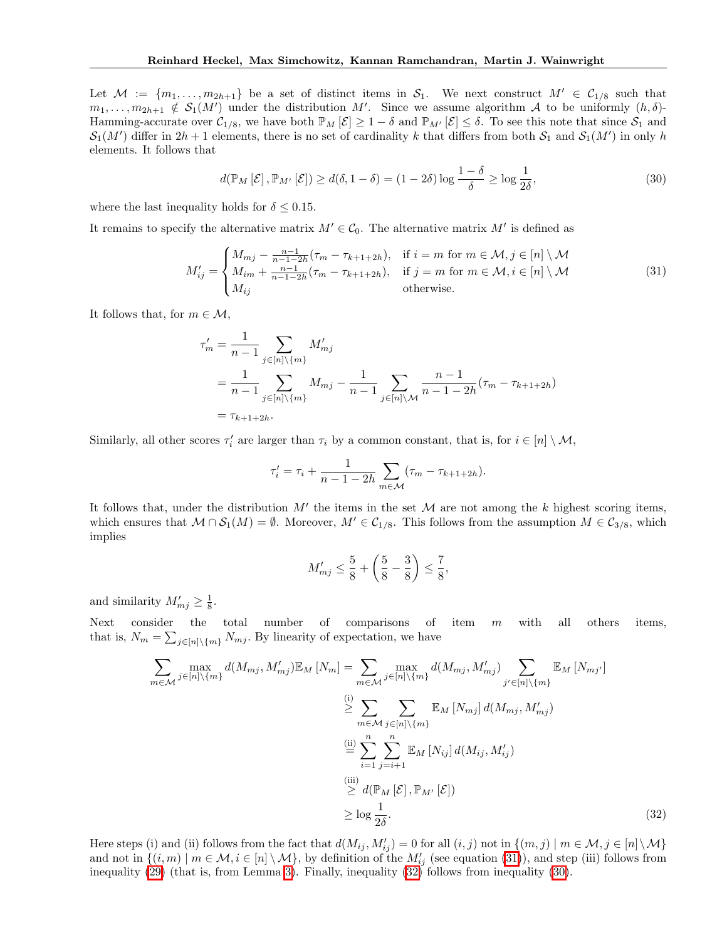Let  $M := \{m_1, \ldots, m_{2h+1}\}$  be a set of distinct items in  $S_1$ . We next construct  $M' \in C_{1/8}$  such that  $m_1, \ldots, m_{2h+1} \notin S_1(M')$  under the distribution *M'*. Since we assume algorithm *A* to be uniformly  $(h, \delta)$ -Hamming-accurate over  $C_{1/8}$ , we have both  $\mathbb{P}_M[\mathcal{E}] \geq 1 - \delta$  and  $\mathbb{P}_{M'}[\mathcal{E}] \leq \delta$ . To see this note that since  $S_1$  and  $S_1(M')$  differ in  $2h+1$  elements, there is no set of cardinality *k* that differs from both  $S_1$  and  $S_1(M')$  in only *h* elements. It follows that

$$
d(\mathbb{P}_M\left[\mathcal{E}\right], \mathbb{P}_{M'}\left[\mathcal{E}\right]) \ge d(\delta, 1 - \delta) = (1 - 2\delta) \log \frac{1 - \delta}{\delta} \ge \log \frac{1}{2\delta},\tag{30}
$$

where the last inequality holds for  $\delta \leq 0.15$ .

It remains to specify the alternative matrix  $M' \in \mathcal{C}_0$ . The alternative matrix  $M'$  is defined as

$$
M'_{ij} = \begin{cases} M_{mj} - \frac{n-1}{n-1-2h}(\tau_m - \tau_{k+1+2h}), & \text{if } i = m \text{ for } m \in \mathcal{M}, j \in [n] \setminus \mathcal{M} \\ M_{im} + \frac{n-1}{n-1-2h}(\tau_m - \tau_{k+1+2h}), & \text{if } j = m \text{ for } m \in \mathcal{M}, i \in [n] \setminus \mathcal{M} \\ M_{ij} & \text{otherwise.} \end{cases}
$$
(31)

It follows that, for  $m \in \mathcal{M}$ ,

$$
\tau'_{m} = \frac{1}{n-1} \sum_{j \in [n] \setminus \{m\}} M'_{mj}
$$
  
= 
$$
\frac{1}{n-1} \sum_{j \in [n] \setminus \{m\}} M_{mj} - \frac{1}{n-1} \sum_{j \in [n] \setminus \mathcal{M}} \frac{n-1}{n-1-2h} (\tau_m - \tau_{k+1+2h})
$$
  
= 
$$
\tau_{k+1+2h}.
$$

Similarly, all other scores  $\tau'_i$  are larger than  $\tau_i$  by a common constant, that is, for  $i \in [n] \setminus \mathcal{M}$ ,

$$
\tau'_{i} = \tau_{i} + \frac{1}{n-1-2h} \sum_{m \in \mathcal{M}} (\tau_{m} - \tau_{k+1+2h}).
$$

It follows that, under the distribution  $M'$  the items in the set  $M$  are not among the  $k$  highest scoring items, which ensures that  $M \cap S_1(M) = \emptyset$ . Moreover,  $M' \in C_{1/8}$ . This follows from the assumption  $M \in C_{3/8}$ , which implies

<span id="page-4-1"></span>
$$
M'_{mj} \le \frac{5}{8} + \left(\frac{5}{8} - \frac{3}{8}\right) \le \frac{7}{8},
$$

and similarity  $M'_{mj} \geq \frac{1}{8}$ .

Next consider the total number of comparisons of item *m* with all others items, that is,  $N_m = \sum_{j \in [n] \setminus \{m\}} N_{mj}$ . By linearity of expectation, we have

$$
\sum_{m \in \mathcal{M}} \max_{j \in [n] \setminus \{m\}} d(M_{mj}, M'_{mj}) \mathbb{E}_M \left[ N_m \right] = \sum_{m \in \mathcal{M}} \max_{j \in [n] \setminus \{m\}} d(M_{mj}, M'_{mj}) \sum_{j' \in [n] \setminus \{m\}} \mathbb{E}_M \left[ N_{mj'} \right]
$$
\n
$$
\geq \sum_{m \in \mathcal{M}} \sum_{j \in [n] \setminus \{m\}} \mathbb{E}_M \left[ N_{mj} \right] d(M_{mj}, M'_{mj})
$$
\n
$$
\stackrel{\text{(ii)}}{=} \sum_{i=1}^n \sum_{j=i+1}^n \mathbb{E}_M \left[ N_{ij} \right] d(M_{ij}, M'_{ij})
$$
\n
$$
\geq d(\mathbb{P}_M \left[ \mathcal{E} \right], \mathbb{P}_{M'} \left[ \mathcal{E} \right])
$$
\n
$$
\geq \log \frac{1}{2\delta}.
$$
\n(32)

<span id="page-4-0"></span>Here steps (i) and (ii) follows from the fact that  $d(M_{ij}, M'_{ij}) = 0$  for all  $(i, j)$  not in  $\{(m, j) | m \in \mathcal{M}, j \in [n] \setminus \mathcal{M}\}$ and not in  $\{(i, m) \mid m \in \mathcal{M}, i \in [n] \setminus \mathcal{M}\}$ , by definition of the  $M'_{ij}$  (see equation [\(31\)](#page--1-15)), and step (iii) follows from inequality [\(29\)](#page--1-16) (that is, from Lemma [3\)](#page--1-14). Finally, inequality [\(32\)](#page--1-17) follows from inequality [\(30\)](#page--1-18).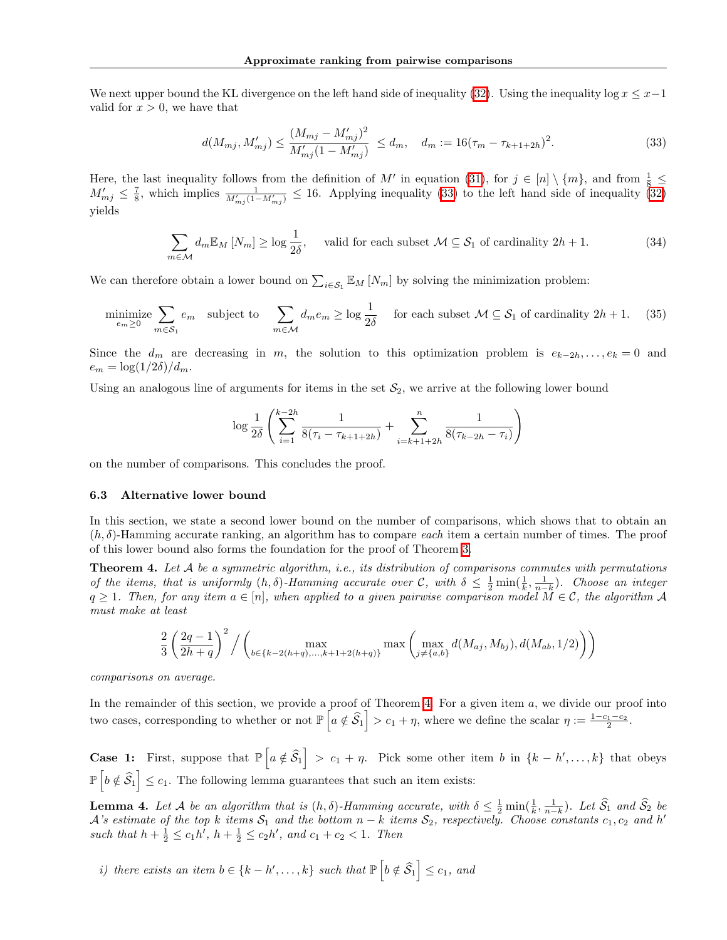We next upper bound the KL divergence on the left hand side of inequality  $(32)$ . Using the inequality log  $x \leq x-1$ valid for  $x > 0$ , we have that

$$
d(M_{mj}, M'_{mj}) \le \frac{(M_{mj} - M'_{mj})^2}{M'_{mj}(1 - M'_{mj})} \le d_m, \quad d_m := 16(\tau_m - \tau_{k+1+2h})^2. \tag{33}
$$

Here, the last inequality follows from the definition of M' in equation [\(31\)](#page--1-15), for  $j \in [n] \setminus \{m\}$ , and from  $\frac{1}{8} \leq$  $M'_{mj} \leq \frac{7}{8}$ , which implies  $\frac{1}{M'_{mj}(1-M'_{mj})} \leq 16$ . Applying inequality [\(33\)](#page--1-19) to the left hand side of inequality [\(32\)](#page--1-17) yields

$$
\sum_{m \in \mathcal{M}} d_m \mathbb{E}_M \left[ N_m \right] \ge \log \frac{1}{2\delta}, \quad \text{valid for each subset } \mathcal{M} \subseteq \mathcal{S}_1 \text{ of cardinality } 2h + 1. \tag{34}
$$

We can therefore obtain a lower bound on  $\sum_{i \in S_1} \mathbb{E}_M [N_m]$  by solving the minimization problem:

<span id="page-5-0"></span>
$$
\underset{e_m \ge 0}{\text{minimize}} \sum_{m \in S_1} e_m \quad \text{subject to} \quad \sum_{m \in \mathcal{M}} d_m e_m \ge \log \frac{1}{2\delta} \quad \text{ for each subset } \mathcal{M} \subseteq \mathcal{S}_1 \text{ of cardinality } 2h + 1. \tag{35}
$$

Since the  $d_m$  are decreasing in *m*, the solution to this optimization problem is  $e_{k-2h}, \ldots, e_k = 0$  and  $e_m = \log(1/2\delta)/d_m$ .

Using an analogous line of arguments for items in the set  $S_2$ , we arrive at the following lower bound

<span id="page-5-2"></span>
$$
\log \frac{1}{2\delta} \left( \sum_{i=1}^{k-2h} \frac{1}{8(\tau_i - \tau_{k+1+2h})} + \sum_{i=k+1+2h}^{n} \frac{1}{8(\tau_{k-2h} - \tau_i)} \right)
$$

on the number of comparisons. This concludes the proof.

#### 6.3 Alternative lower bound

In this section, we state a second lower bound on the number of comparisons, which shows that to obtain an  $(h, \delta)$ -Hamming accurate ranking, an algorithm has to compare *each* item a certain number of times. The proof of this lower bound also forms the foundation for the proof of Theorem [3.](#page-5-1)

Theorem 4. *Let A be a symmetric algorithm, i.e., its distribution of comparisons commutes with permutations of the items, that is uniformly*  $(h, \delta)$ *-Hamming accurate over*  $\mathcal{C}$ *, with*  $\delta \leq \frac{1}{2} \min(\frac{1}{k}, \frac{1}{n-k})$ *. Choose an integer*  $q \geq 1$ *. Then, for any item*  $a \in [n]$ *, when applied to a given pairwise comparison model*  $M \in \mathcal{C}$ *, the algorithm*  $\mathcal{A}$ *must make at least*

<span id="page-5-1"></span>
$$
\frac{2}{3} \left( \frac{2q-1}{2h+q} \right)^2 / \left( \max_{b \in \{k-2(h+q), \dots, k+1+2(h+q)\}} \max \left( \max_{j \neq \{a,b\}} d(M_{aj}, M_{bj}), d(M_{ab}, 1/2) \right) \right)
$$

*comparisons on average.*

In the remainder of this section, we provide a proof of Theorem  $\frac{1}{4}$ . For a given item *a*, we divide our proof into two cases, corresponding to whether or not  $\mathbb{P}\left[a \notin \widehat{S}_1\right] > c_1 + \eta$ , where we define the scalar  $\eta := \frac{1-c_1-c_2}{2}$ .

**Case 1:** First, suppose that  $\mathbb{P}\left[a \notin \mathcal{\hat{S}}_1\right] > c_1 + \eta$ . Pick some other item *b* in  $\{k - h', \ldots, k\}$  that obeys  $\mathbb{P}\left[b \notin \widehat{\mathcal{S}}_1\right] \leq c_1$ . The following lemma guarantees that such an item exists:

**Lemma 4.** Let A be an algorithm that is  $(h, \delta)$ -Hamming accurate, with  $\delta \leq \frac{1}{2} \min(\frac{1}{k}, \frac{1}{n-k})$ . Let  $\widehat{S}_1$  and  $\widehat{S}_2$  be *A*<sup>'s</sup> estimate of the top *k* items  $S_1$  and the bottom  $n - k$  items  $S_2$ , respectively. Choose constants  $c_1, c_2$  and  $h'$ *such that*  $h + \frac{1}{2} \le c_1 h'$ ,  $h + \frac{1}{2} \le c_2 h'$ , and  $c_1 + c_2 < 1$ . Then

*i*) there exists an item  $b \in \{k - h', \ldots, k\}$  such that  $\mathbb{P}\left[b \notin \widehat{S}_1 \right] \leq c_1$ , and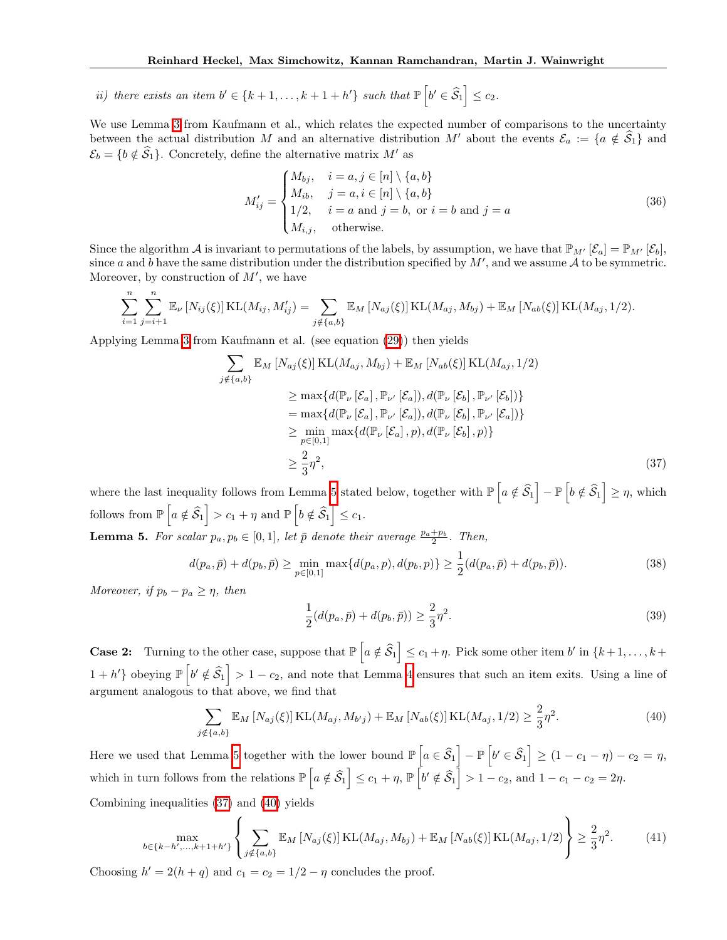*ii*) *there exists an item*  $b' \in \{k+1, \ldots, k+1+h'\}$  *such that*  $\mathbb{P}\left[b' \in \widehat{S}_1\right] \leq c_2$ .

We use Lemma  $\boxed{3}$  from Kaufmann et al., which relates the expected number of comparisons to the uncertainty between the actual distribution *M* and an alternative distribution *M'* about the events  $\mathcal{E}_a := \{a \notin \mathcal{S}_1\}$  and  $\mathcal{E}_b = \{b \notin \widehat{\mathcal{S}}_1\}$ . Concretely, define the alternative matrix *M'* as

$$
M'_{ij} = \begin{cases} M_{bj}, & i = a, j \in [n] \setminus \{a, b\} \\ M_{ib}, & j = a, i \in [n] \setminus \{a, b\} \\ 1/2, & i = a \text{ and } j = b, \text{ or } i = b \text{ and } j = a \\ M_{i,j}, & \text{otherwise.} \end{cases} \tag{36}
$$

Since the algorithm *A* is invariant to permutations of the labels, by assumption, we have that  $\mathbb{P}_{M'}[\mathcal{E}_a] = \mathbb{P}_{M'}[\mathcal{E}_b],$ since *a* and *b* have the same distribution under the distribution specified by  $M'$ , and we assume  $A$  to be symmetric. Moreover, by construction of  $M'$ , we have

$$
\sum_{i=1}^{n} \sum_{j=i+1}^{n} \mathbb{E}_{\nu} [N_{ij}(\xi)] \text{KL}(M_{ij}, M'_{ij}) = \sum_{j \notin \{a,b\}} \mathbb{E}_{M} [N_{aj}(\xi)] \text{KL}(M_{aj}, M_{bj}) + \mathbb{E}_{M} [N_{ab}(\xi)] \text{KL}(M_{aj}, 1/2).
$$

Applying Lemma  $3$  from Kaufmann et al. (see equation  $(29)$ ) then yields

$$
\sum_{j \notin \{a,b\}} \mathbb{E}_M \left[ N_{aj}(\xi) \right] \text{KL}(M_{aj}, M_{bj}) + \mathbb{E}_M \left[ N_{ab}(\xi) \right] \text{KL}(M_{aj}, 1/2)
$$
\n
$$
\geq \max \{ d(\mathbb{P}_\nu \left[ \mathcal{E}_a \right], \mathbb{P}_{\nu'} \left[ \mathcal{E}_a \right]), d(\mathbb{P}_\nu \left[ \mathcal{E}_b \right], \mathbb{P}_{\nu'} \left[ \mathcal{E}_b \right]) \}
$$
\n
$$
= \max \{ d(\mathbb{P}_\nu \left[ \mathcal{E}_a \right], \mathbb{P}_{\nu'} \left[ \mathcal{E}_a \right]), d(\mathbb{P}_\nu \left[ \mathcal{E}_b \right], \mathbb{P}_{\nu'} \left[ \mathcal{E}_a \right]) \}
$$
\n
$$
\geq \min_{p \in [0,1]} \max \{ d(\mathbb{P}_\nu \left[ \mathcal{E}_a \right], p), d(\mathbb{P}_\nu \left[ \mathcal{E}_b \right], p) \}
$$
\n
$$
\geq \frac{2}{3} \eta^2,
$$
\n(37)

where the last inequality follows from Lemma  $\frac{1}{5}$  stated below, together with  $\mathbb{P}\left[a \notin \widehat{\mathcal{S}}_1\right] - \mathbb{P}\left[b \notin \widehat{\mathcal{S}}_1\right] \geq \eta$ , which follows from  $\mathbb{P}\left[a \notin \widehat{S}_1\right] > c_1 + \eta$  and  $\mathbb{P}\left[b \notin \widehat{S}_1\right] \leq c_1$ .

**Lemma 5.** For scalar  $p_a, p_b \in [0, 1]$ , let  $\bar{p}$  denote their average  $\frac{p_a + p_b}{2}$ . Then,

$$
d(p_a, \bar{p}) + d(p_b, \bar{p}) \ge \min_{p \in [0,1]} \max\{d(p_a, p), d(p_b, p)\} \ge \frac{1}{2}(d(p_a, \bar{p}) + d(p_b, \bar{p})).
$$
\n(38)

*Moreover, if*  $p_b - p_a \geq \eta$ *, then* 

$$
\frac{1}{2}(d(p_a, \bar{p}) + d(p_b, \bar{p})) \ge \frac{2}{3}\eta^2.
$$
\n(39)

**Case 2:** Turning to the other case, suppose that  $\mathbb{P}\left[a \notin \widehat{S}_1\right] \leq c_1 + \eta$ . Pick some other item *b*<sup>1</sup> in  $\{k+1,\ldots,k+1\}$  $1 + h'$  obeying  $\mathbb{P}\left[b' \notin \widehat{\mathcal{S}}_1\right] > 1 - c_2$ , and note that Lemma [4](#page--1-22) ensures that such an item exits. Using a line of argument analogous to that above, we find that

$$
\sum_{j \notin \{a,b\}} \mathbb{E}_M \left[ N_{aj}(\xi) \right] \text{KL}(M_{aj}, M_{b'j}) + \mathbb{E}_M \left[ N_{ab}(\xi) \right] \text{KL}(M_{aj}, 1/2) \ge \frac{2}{3} \eta^2. \tag{40}
$$

Here we used that Lemma  $\frac{1}{5}$  together with the lower bound  $\mathbb{P}\left[a \in \widehat{S}_1\right] - \mathbb{P}\left[b' \in \widehat{S}_1\right] \geq (1 - c_1 - \eta) - c_2 = \eta$ , which in turn follows from the relations  $\mathbb{P}\left[a \notin \widehat{\mathcal{S}}_1\right] \leq c_1 + \eta$ ,  $\mathbb{P}\left[b' \notin \widehat{\mathcal{S}}_1\right] > 1 - c_2$ , and  $1 - c_1 - c_2 = 2\eta$ .

Combining inequalities  $(37)$  and  $(40)$  yields

$$
\max_{b \in \{k - h', ..., k + 1 + h'\}} \left\{ \sum_{j \notin \{a, b\}} \mathbb{E}_M \left[ N_{aj}(\xi) \right] \text{KL}(M_{aj}, M_{bj}) + \mathbb{E}_M \left[ N_{ab}(\xi) \right] \text{KL}(M_{aj}, 1/2) \right\} \ge \frac{2}{3} \eta^2. \tag{41}
$$

Choosing  $h' = 2(h + q)$  and  $c_1 = c_2 = 1/2 - \eta$  concludes the proof.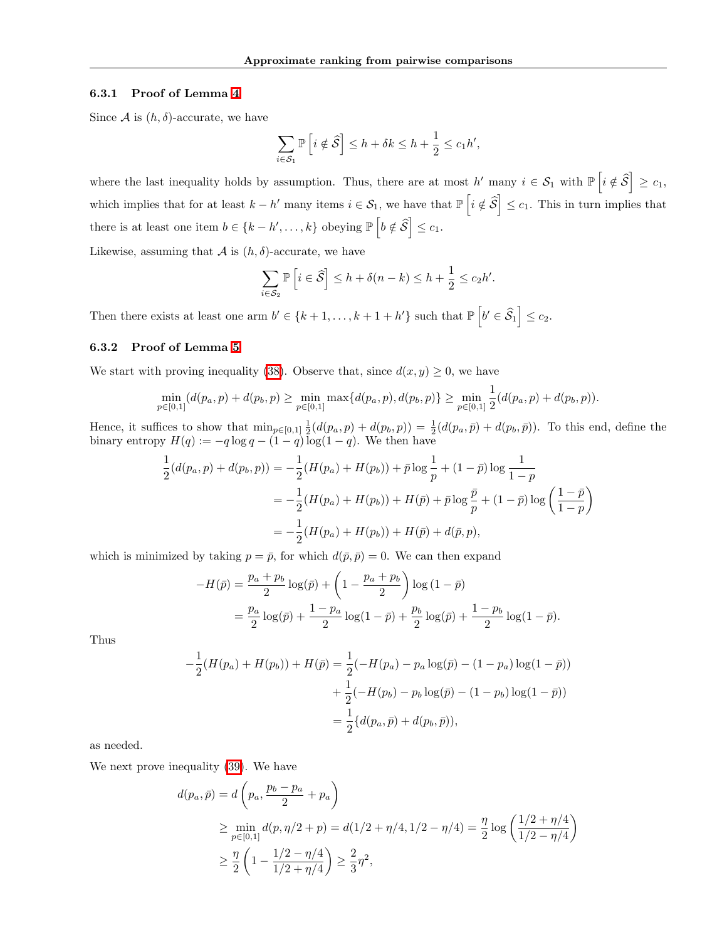### 6.3.1 Proof of Lemma [4](#page--1-22)

Since  $A$  is  $(h, \delta)$ -accurate, we have

$$
\sum_{i \in S_1} \mathbb{P}\left[i \notin \widehat{S}\right] \le h + \delta k \le h + \frac{1}{2} \le c_1 h',
$$

where the last inequality holds by assumption. Thus, there are at most  $h'$  many  $i \in S_1$  with  $\mathbb{P}\left[i \notin \widehat{S} \right] \geq c_1$ , which implies that for at least  $k - h'$  many items  $i \in S_1$ , we have that  $\mathbb{P}\left[i \notin \mathcal{S}\right] \leq c_1$ . This in turn implies that there is at least one item  $b \in \{k - h', \ldots, k\}$  obeying  $\mathbb{P}\left[b \notin \mathcal{S}\right] \leq c_1$ .

Likewise, assuming that  $A$  is  $(h, \delta)$ -accurate, we have

$$
\sum_{i \in S_2} \mathbb{P}\left[i \in \widehat{S}\right] \le h + \delta(n-k) \le h + \frac{1}{2} \le c_2 h'.
$$

Then there exists at least one arm  $b' \in \{k+1, \ldots, k+1+h'\}$  such that  $\mathbb{P}\left[b' \in \widehat{S}_1\right] \leq c_2$ .

## 6.3.2 Proof of Lemma [5](#page--1-21)

We start with proving inequality [\(38\)](#page--1-25). Observe that, since  $d(x, y) \geq 0$ , we have

$$
\min_{p\in[0,1]}(d(p_a,p)+d(p_b,p)\geq \min_{p\in[0,1]}\max\{d(p_a,p),d(p_b,p)\}\geq \min_{p\in[0,1]}\frac{1}{2}(d(p_a,p)+d(p_b,p)).
$$

Hence, it suffices to show that  $\min_{p\in[0,1]} \frac{1}{2}(d(p_a, p) + d(p_b, p)) = \frac{1}{2}(d(p_a, \bar{p}) + d(p_b, \bar{p}))$ . To this end, define the binary entropy  $H(q) := -q \log q - (1 - q) \log(1 - q)$ . We then have

$$
\frac{1}{2}(d(p_a, p) + d(p_b, p)) = -\frac{1}{2}(H(p_a) + H(p_b)) + \bar{p}\log\frac{1}{p} + (1 - \bar{p})\log\frac{1}{1 - p}
$$
\n
$$
= -\frac{1}{2}(H(p_a) + H(p_b)) + H(\bar{p}) + \bar{p}\log\frac{\bar{p}}{p} + (1 - \bar{p})\log\left(\frac{1 - \bar{p}}{1 - p}\right)
$$
\n
$$
= -\frac{1}{2}(H(p_a) + H(p_b)) + H(\bar{p}) + d(\bar{p}, p),
$$

which is minimized by taking  $p = \bar{p}$ , for which  $d(\bar{p}, \bar{p}) = 0$ . We can then expand

$$
-H(\bar{p}) = \frac{p_a + p_b}{2} \log(\bar{p}) + \left(1 - \frac{p_a + p_b}{2}\right) \log(1 - \bar{p})
$$
  
=  $\frac{p_a}{2} \log(\bar{p}) + \frac{1 - p_a}{2} \log(1 - \bar{p}) + \frac{p_b}{2} \log(\bar{p}) + \frac{1 - p_b}{2} \log(1 - \bar{p}).$ 

Thus

$$
-\frac{1}{2}(H(p_a) + H(p_b)) + H(\bar{p}) = \frac{1}{2}(-H(p_a) - p_a \log(\bar{p}) - (1 - p_a) \log(1 - \bar{p}))
$$

$$
+\frac{1}{2}(-H(p_b) - p_b \log(\bar{p}) - (1 - p_b) \log(1 - \bar{p}))
$$

$$
=\frac{1}{2}\{d(p_a, \bar{p}) + d(p_b, \bar{p})),
$$

as needed.

We next prove inequality  $(39)$ . We have

$$
d(p_a, \bar{p}) = d\left(p_a, \frac{p_b - p_a}{2} + p_a\right)
$$
  
\n
$$
\geq \min_{p \in [0,1]} d(p, \eta/2 + p) = d(1/2 + \eta/4, 1/2 - \eta/4) = \frac{\eta}{2} \log\left(\frac{1/2 + \eta/4}{1/2 - \eta/4}\right)
$$
  
\n
$$
\geq \frac{\eta}{2} \left(1 - \frac{1/2 - \eta/4}{1/2 + \eta/4}\right) \geq \frac{2}{3}\eta^2,
$$